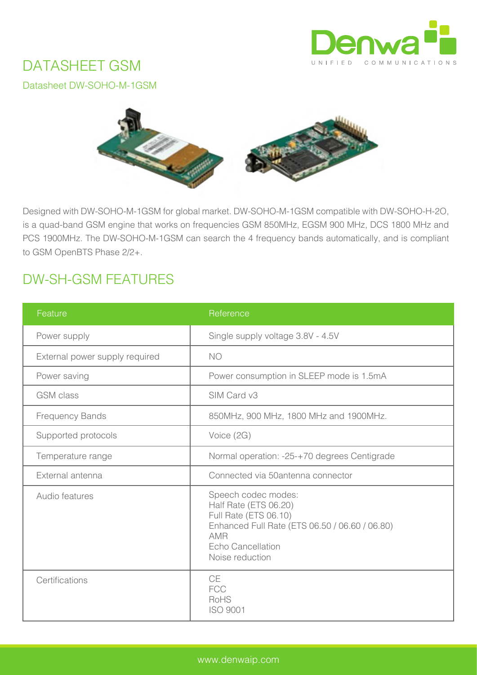

# DATASHEET GSM

Datasheet DW-SOHO-M-1GSM



Designed with DW-SOHO-M-1GSM for global market. DW-SOHO-M-1GSM compatible with DW-SOHO-H-2O, is a quad-band GSM engine that works on frequencies GSM 850MHz, EGSM 900 MHz, DCS 1800 MHz and PCS 1900MHz. The DW-SOHO-M-1GSM can search the 4 frequency bands automatically, and is compliant to GSM OpenBTS Phase 2/2+.

# DW-SH-GSM FEATURES

| Feature                        | Reference                                                                                                                                                                     |  |
|--------------------------------|-------------------------------------------------------------------------------------------------------------------------------------------------------------------------------|--|
| Power supply                   | Single supply voltage 3.8V - 4.5V                                                                                                                                             |  |
| External power supply required | <b>NO</b>                                                                                                                                                                     |  |
| Power saving                   | Power consumption in SLEEP mode is 1.5mA                                                                                                                                      |  |
| <b>GSM</b> class               | SIM Card v3                                                                                                                                                                   |  |
| <b>Frequency Bands</b>         | 850MHz, 900 MHz, 1800 MHz and 1900MHz.                                                                                                                                        |  |
| Supported protocols            | Voice (2G)                                                                                                                                                                    |  |
| Temperature range              | Normal operation: -25-+70 degrees Centigrade                                                                                                                                  |  |
| External antenna               | Connected via 50antenna connector                                                                                                                                             |  |
| Audio features                 | Speech codec modes:<br>Half Rate (ETS 06.20)<br>Full Rate (ETS 06.10)<br>Enhanced Full Rate (ETS 06.50 / 06.60 / 06.80)<br><b>AMR</b><br>Echo Cancellation<br>Noise reduction |  |
| Certifications                 | <b>CE</b><br><b>FCC</b><br>RoHS<br><b>ISO 9001</b>                                                                                                                            |  |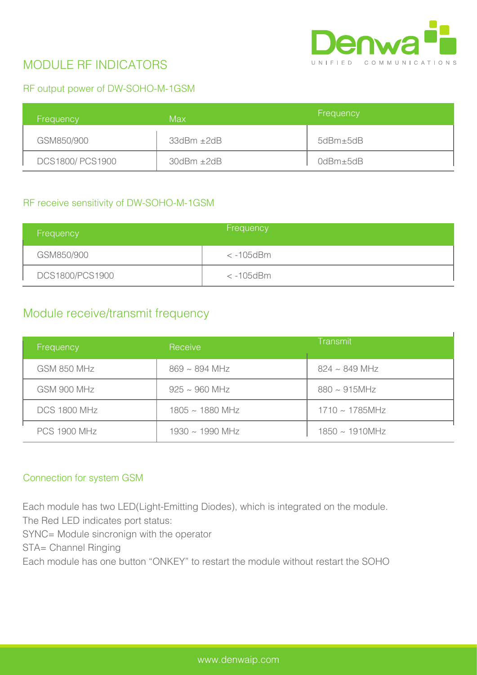

## MODULE RF INDICATORS

### RF output power of DW-SOHO-M-1GSM

| Frequency       | Max                     | Frequency |
|-----------------|-------------------------|-----------|
| GSM850/900      | $33$ d $Bm \pm 2$ d $B$ | 5dBm±5dB  |
| DCS1800/PCS1900 | $30$ d $Bm \pm 2$ d $B$ | 0dBm±5dB  |

#### RF receive sensitivity of DW-SOHO-M-1GSM

| Frequency       | Frequency       |
|-----------------|-----------------|
| GSM850/900      | $< -105$ d $Bm$ |
| DCS1800/PCS1900 | $< -105$ d $Bm$ |

## Module receive/transmit frequency

| Frequency           | Receive              | Transmit             |
|---------------------|----------------------|----------------------|
| <b>GSM 850 MHz</b>  | $869 \sim 894$ MHz   | $824 \sim 849$ MHz   |
| GSM 900 MHz         | $925 \sim 960$ MHz   | $880 \sim 915$ MHz   |
| <b>DCS 1800 MHz</b> | $1805 \sim 1880$ MHz | $1710 \sim 1785$ MHz |
| <b>PCS 1900 MHz</b> | $1930 \sim 1990$ MHz | $1850 \sim 1910$ MHz |

#### Connection for system GSM

Each module has two LED(Light-Emitting Diodes), which is integrated on the module. The Red LED indicates port status:

SYNC= Module sincronign with the operator

STA= Channel Ringing

Each module has one button "ONKEY" to restart the module without restart the SOHO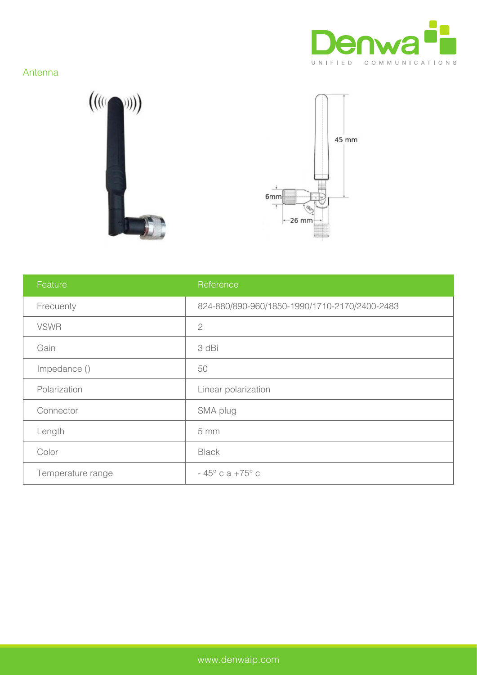

### Antenna





| Feature           | Reference                                     |
|-------------------|-----------------------------------------------|
| Frecuenty         | 824-880/890-960/1850-1990/1710-2170/2400-2483 |
| <b>VSWR</b>       | $\overline{2}$                                |
| Gain              | 3 dBi                                         |
| Impedance ()      | 50                                            |
| Polarization      | Linear polarization                           |
| Connector         | SMA plug                                      |
| Length            | 5 mm                                          |
| Color             | <b>Black</b>                                  |
| Temperature range | $-45^{\circ}$ c a $+75^{\circ}$ c             |